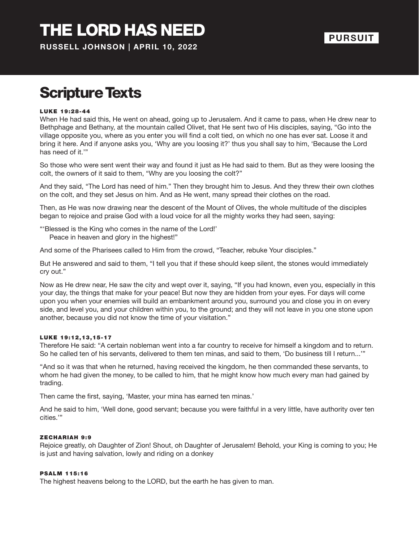# THE LORD HAS NEED

**RUSSELL JOHNSON | APRIL 10, 2022**

### **PURSUIT**

# Scripture Texts

#### LUKE 19:28-44

When He had said this, He went on ahead, going up to Jerusalem. And it came to pass, when He drew near to Bethphage and Bethany, at the mountain called Olivet, that He sent two of His disciples, saying, "Go into the village opposite you, where as you enter you will find a colt tied, on which no one has ever sat. Loose it and bring it here. And if anyone asks you, 'Why are you loosing it?' thus you shall say to him, 'Because the Lord has need of it.'"

So those who were sent went their way and found it just as He had said to them. But as they were loosing the colt, the owners of it said to them, "Why are you loosing the colt?"

And they said, "The Lord has need of him." Then they brought him to Jesus. And they threw their own clothes on the colt, and they set Jesus on him. And as He went, many spread their clothes on the road.

Then, as He was now drawing near the descent of the Mount of Olives, the whole multitude of the disciples began to rejoice and praise God with a loud voice for all the mighty works they had seen, saying:

"'Blessed is the King who comes in the name of the Lord!'

Peace in heaven and glory in the highest!"

And some of the Pharisees called to Him from the crowd, "Teacher, rebuke Your disciples."

But He answered and said to them, "I tell you that if these should keep silent, the stones would immediately cry out."

Now as He drew near, He saw the city and wept over it, saying, "If you had known, even you, especially in this your day, the things that make for your peace! But now they are hidden from your eyes. For days will come upon you when your enemies will build an embankment around you, surround you and close you in on every side, and level you, and your children within you, to the ground; and they will not leave in you one stone upon another, because you did not know the time of your visitation."

#### LUKE 19:12,13,15-17

Therefore He said: "A certain nobleman went into a far country to receive for himself a kingdom and to return. So he called ten of his servants, delivered to them ten minas, and said to them, 'Do business till I return...'"

"And so it was that when he returned, having received the kingdom, he then commanded these servants, to whom he had given the money, to be called to him, that he might know how much every man had gained by trading.

Then came the first, saying, 'Master, your mina has earned ten minas.'

And he said to him, 'Well done, good servant; because you were faithful in a very little, have authority over ten cities.'"

#### **ZECHARIAH 9:9**

Rejoice greatly, oh Daughter of Zion! Shout, oh Daughter of Jerusalem! Behold, your King is coming to you; He is just and having salvation, lowly and riding on a donkey

#### PSALM 115:16

The highest heavens belong to the LORD, but the earth he has given to man.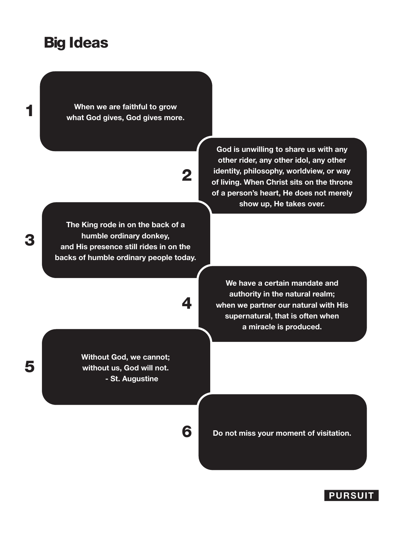### Big Ideas

**When we are faithful to grow what God gives, God gives more.**

# 2

4

**The King rode in on the back of a humble ordinary donkey, and His presence still rides in on the backs of humble ordinary people today.** 

**God is unwilling to share us with any other rider, any other idol, any other identity, philosophy, worldview, or way of living. When Christ sits on the throne of a person's heart, He does not merely show up, He takes over.**

**We have a certain mandate and authority in the natural realm; when we partner our natural with His supernatural, that is often when a miracle is produced.**

**Without God, we cannot; without us, God will not. - St. Augustine**

6 **Do not miss your moment of visitation.**



## 3

5

1